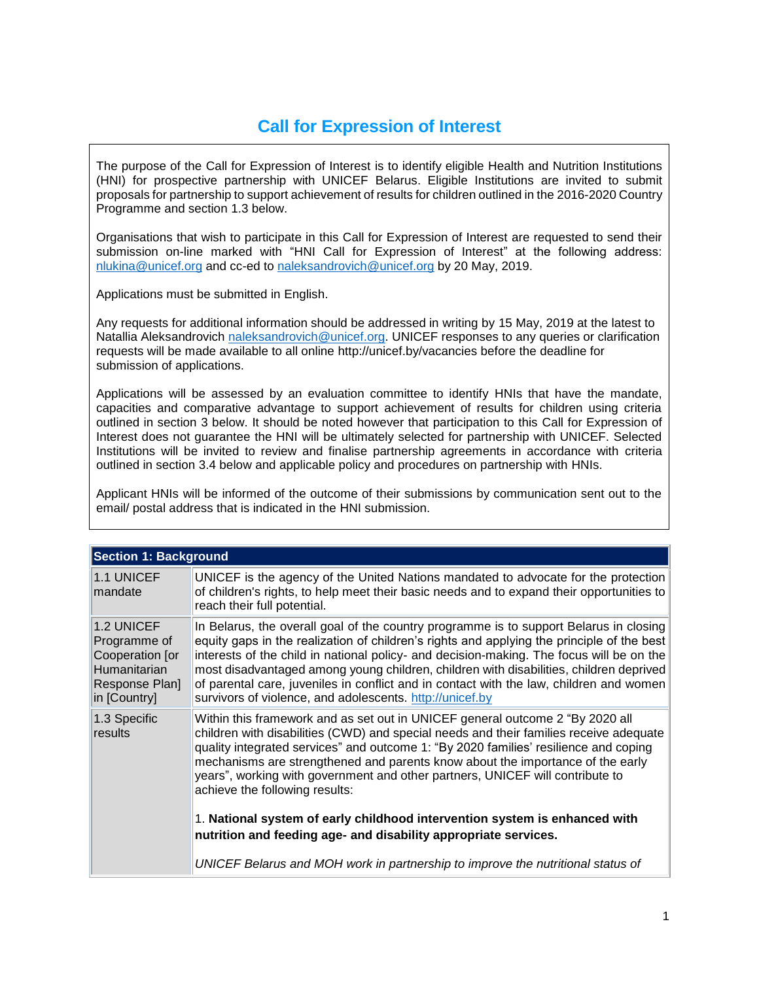# **Call for Expression of Interest**

The purpose of the Call for Expression of Interest is to identify eligible Health and Nutrition Institutions (HNI) for prospective partnership with UNICEF Belarus. Eligible Institutions are invited to submit proposals for partnership to support achievement of results for children outlined in the 2016-2020 Country Programme and section 1.3 below.

Organisations that wish to participate in this Call for Expression of Interest are requested to send their submission on-line marked with "HNI Call for Expression of Interest" at the following address: [nlukina@unicef.org](mailto:nlukina@unicef.org) and cc-ed to [naleksandrovich@unicef.org](mailto:naleksandrovich@unicef.org) by 20 May, 2019.

Applications must be submitted in English.

Any requests for additional information should be addressed in writing by 15 May, 2019 at the latest to Natallia Aleksandrovich [naleksandrovich@unicef.org.](mailto:naleksandrovich@unicef.org) UNICEF responses to any queries or clarification requests will be made available to all online http://unicef.by/vacancies before the deadline for submission of applications.

Applications will be assessed by an evaluation committee to identify HNIs that have the mandate, capacities and comparative advantage to support achievement of results for children using criteria outlined in section 3 below. It should be noted however that participation to this Call for Expression of Interest does not guarantee the HNI will be ultimately selected for partnership with UNICEF. Selected Institutions will be invited to review and finalise partnership agreements in accordance with criteria outlined in section 3.4 below and applicable policy and procedures on partnership with HNIs.

Applicant HNIs will be informed of the outcome of their submissions by communication sent out to the email/ postal address that is indicated in the HNI submission.

| <b>Section 1: Background</b>                                                                    |                                                                                                                                                                                                                                                                                                                                                                                                                                                                                                                                   |
|-------------------------------------------------------------------------------------------------|-----------------------------------------------------------------------------------------------------------------------------------------------------------------------------------------------------------------------------------------------------------------------------------------------------------------------------------------------------------------------------------------------------------------------------------------------------------------------------------------------------------------------------------|
| 1.1 UNICEF<br>mandate                                                                           | UNICEF is the agency of the United Nations mandated to advocate for the protection<br>of children's rights, to help meet their basic needs and to expand their opportunities to<br>reach their full potential.                                                                                                                                                                                                                                                                                                                    |
| 1.2 UNICEF<br>Programme of<br>Cooperation [or<br>Humanitarian<br>Response Plan]<br>in [Country] | In Belarus, the overall goal of the country programme is to support Belarus in closing<br>equity gaps in the realization of children's rights and applying the principle of the best<br>interests of the child in national policy- and decision-making. The focus will be on the<br>most disadvantaged among young children, children with disabilities, children deprived<br>of parental care, juveniles in conflict and in contact with the law, children and women<br>survivors of violence, and adolescents. http://unicef.by |
| 1.3 Specific<br>results                                                                         | Within this framework and as set out in UNICEF general outcome 2 "By 2020 all<br>children with disabilities (CWD) and special needs and their families receive adequate<br>quality integrated services" and outcome 1: "By 2020 families' resilience and coping<br>mechanisms are strengthened and parents know about the importance of the early<br>years", working with government and other partners, UNICEF will contribute to<br>achieve the following results:                                                              |
|                                                                                                 | 1. National system of early childhood intervention system is enhanced with<br>nutrition and feeding age- and disability appropriate services.                                                                                                                                                                                                                                                                                                                                                                                     |
|                                                                                                 | UNICEF Belarus and MOH work in partnership to improve the nutritional status of                                                                                                                                                                                                                                                                                                                                                                                                                                                   |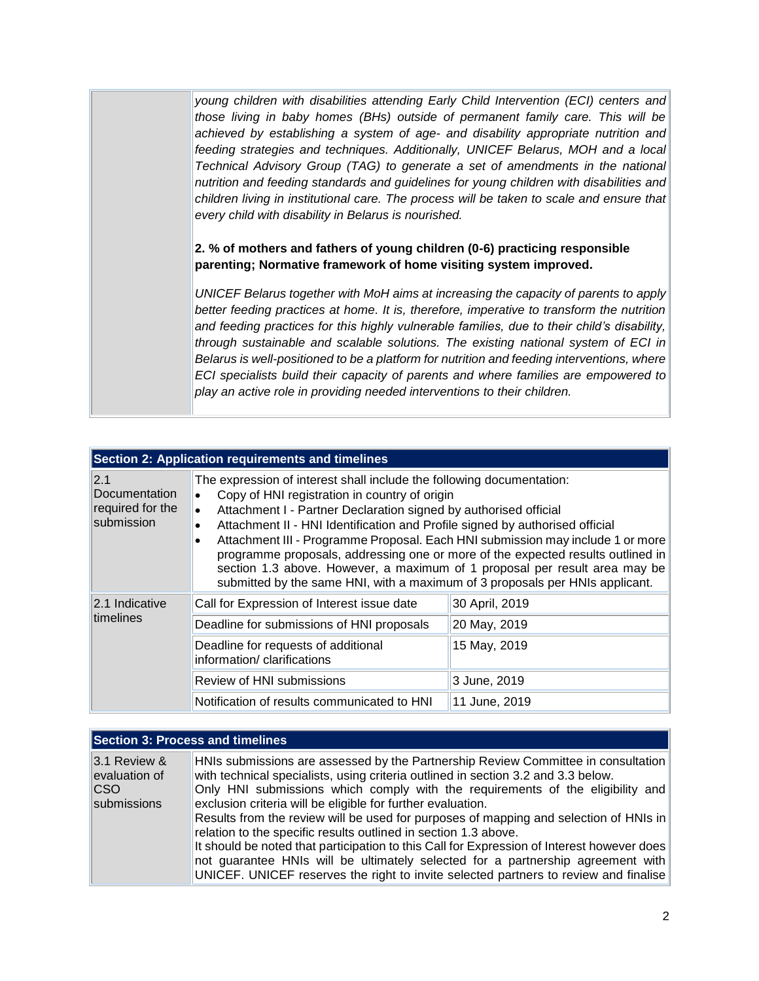*young children with disabilities attending Early Child Intervention (ECI) centers and those living in baby homes (BHs) outside of permanent family care. This will be achieved by establishing a system of age- and disability appropriate nutrition and feeding strategies and techniques. Additionally, UNICEF Belarus, MOH and a local Technical Advisory Group (TAG) to generate a set of amendments in the national nutrition and feeding standards and guidelines for young children with disabilities and children living in institutional care. The process will be taken to scale and ensure that every child with disability in Belarus is nourished.* 

### **2. % of mothers and fathers of young children (0-6) practicing responsible parenting; Normative framework of home visiting system improved.**

*UNICEF Belarus together with MoH aims at increasing the capacity of parents to apply better feeding practices at home. It is, therefore, imperative to transform the nutrition and feeding practices for this highly vulnerable families, due to their child's disability, through sustainable and scalable solutions. The existing national system of ECI in Belarus is well-positioned to be a platform for nutrition and feeding interventions, where ECI specialists build their capacity of parents and where families are empowered to play an active role in providing needed interventions to their children.*

|                                                        | <b>Section 2: Application requirements and timelines</b>                                                                                                                                                                                                                                                                                                                                                                                                                                                                                                                                                                                                          |                |  |
|--------------------------------------------------------|-------------------------------------------------------------------------------------------------------------------------------------------------------------------------------------------------------------------------------------------------------------------------------------------------------------------------------------------------------------------------------------------------------------------------------------------------------------------------------------------------------------------------------------------------------------------------------------------------------------------------------------------------------------------|----------------|--|
| 2.1<br>Documentation<br>required for the<br>submission | The expression of interest shall include the following documentation:<br>Copy of HNI registration in country of origin<br>$\bullet$<br>Attachment I - Partner Declaration signed by authorised official<br>$\bullet$<br>Attachment II - HNI Identification and Profile signed by authorised official<br>$\bullet$<br>Attachment III - Programme Proposal. Each HNI submission may include 1 or more<br>$\bullet$<br>programme proposals, addressing one or more of the expected results outlined in<br>section 1.3 above. However, a maximum of 1 proposal per result area may be<br>submitted by the same HNI, with a maximum of 3 proposals per HNIs applicant. |                |  |
| 2.1 Indicative                                         | Call for Expression of Interest issue date                                                                                                                                                                                                                                                                                                                                                                                                                                                                                                                                                                                                                        | 30 April, 2019 |  |
| timelines                                              | Deadline for submissions of HNI proposals                                                                                                                                                                                                                                                                                                                                                                                                                                                                                                                                                                                                                         | 20 May, 2019   |  |
|                                                        | Deadline for requests of additional<br>information/clarifications                                                                                                                                                                                                                                                                                                                                                                                                                                                                                                                                                                                                 | 15 May, 2019   |  |
|                                                        | Review of HNI submissions                                                                                                                                                                                                                                                                                                                                                                                                                                                                                                                                                                                                                                         | 3 June, 2019   |  |
|                                                        | 11 June, 2019                                                                                                                                                                                                                                                                                                                                                                                                                                                                                                                                                                                                                                                     |                |  |

#### **Section 3: Process and timelines**

| $ 3.1$ Review &<br>evaluation of<br>$ {\rm CSO} $<br>submissions | HNIs submissions are assessed by the Partnership Review Committee in consultation<br>with technical specialists, using criteria outlined in section 3.2 and 3.3 below.<br>Only HNI submissions which comply with the requirements of the eligibility and<br>exclusion criteria will be eligible for further evaluation.<br>Results from the review will be used for purposes of mapping and selection of HNIs in<br>relation to the specific results outlined in section 1.3 above.<br>It should be noted that participation to this Call for Expression of Interest however does |
|------------------------------------------------------------------|-----------------------------------------------------------------------------------------------------------------------------------------------------------------------------------------------------------------------------------------------------------------------------------------------------------------------------------------------------------------------------------------------------------------------------------------------------------------------------------------------------------------------------------------------------------------------------------|
|                                                                  | not guarantee HNIs will be ultimately selected for a partnership agreement with<br>UNICEF. UNICEF reserves the right to invite selected partners to review and finalise                                                                                                                                                                                                                                                                                                                                                                                                           |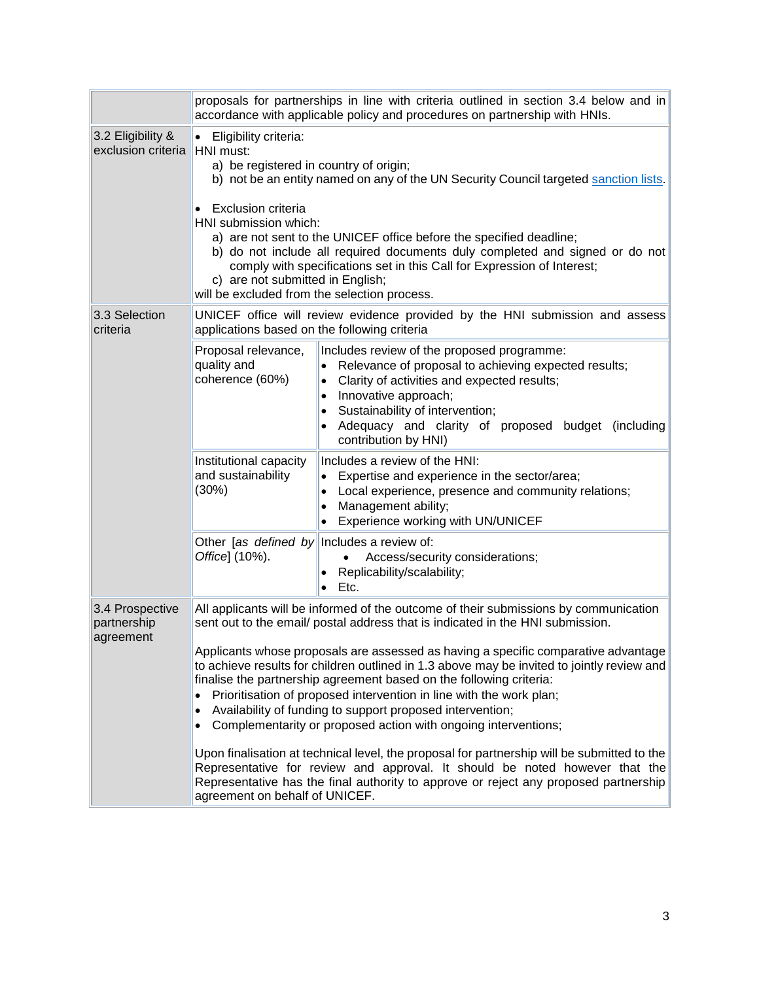|                                                   | proposals for partnerships in line with criteria outlined in section 3.4 below and in<br>accordance with applicable policy and procedures on partnership with HNIs.                                                                                                                                                                                                                                                                                                                                                                                                                                                                                                                                                                                                                                                                                                                                                                                                                    |                                                                                                                                                                                                                                                                                            |  |  |
|---------------------------------------------------|----------------------------------------------------------------------------------------------------------------------------------------------------------------------------------------------------------------------------------------------------------------------------------------------------------------------------------------------------------------------------------------------------------------------------------------------------------------------------------------------------------------------------------------------------------------------------------------------------------------------------------------------------------------------------------------------------------------------------------------------------------------------------------------------------------------------------------------------------------------------------------------------------------------------------------------------------------------------------------------|--------------------------------------------------------------------------------------------------------------------------------------------------------------------------------------------------------------------------------------------------------------------------------------------|--|--|
| 3.2 Eligibility &<br>exclusion criteria HNI must: | Eligibility criteria:<br>$\bullet$<br>a) be registered in country of origin;<br>b) not be an entity named on any of the UN Security Council targeted sanction lists.<br><b>Exclusion criteria</b><br>HNI submission which:<br>a) are not sent to the UNICEF office before the specified deadline;<br>b) do not include all required documents duly completed and signed or do not<br>comply with specifications set in this Call for Expression of Interest;<br>c) are not submitted in English;<br>will be excluded from the selection process.                                                                                                                                                                                                                                                                                                                                                                                                                                       |                                                                                                                                                                                                                                                                                            |  |  |
| 3.3 Selection<br>criteria                         | applications based on the following criteria                                                                                                                                                                                                                                                                                                                                                                                                                                                                                                                                                                                                                                                                                                                                                                                                                                                                                                                                           | UNICEF office will review evidence provided by the HNI submission and assess                                                                                                                                                                                                               |  |  |
|                                                   | Proposal relevance,<br>quality and<br>coherence (60%)                                                                                                                                                                                                                                                                                                                                                                                                                                                                                                                                                                                                                                                                                                                                                                                                                                                                                                                                  | Includes review of the proposed programme:<br>Relevance of proposal to achieving expected results;<br>Clarity of activities and expected results;<br>Innovative approach;<br>Sustainability of intervention;<br>Adequacy and clarity of proposed budget (including<br>contribution by HNI) |  |  |
|                                                   | Institutional capacity<br>and sustainability<br>(30%)                                                                                                                                                                                                                                                                                                                                                                                                                                                                                                                                                                                                                                                                                                                                                                                                                                                                                                                                  | Includes a review of the HNI:<br>Expertise and experience in the sector/area;<br>• Local experience, presence and community relations;<br>Management ability;<br>$\bullet$<br>Experience working with UN/UNICEF                                                                            |  |  |
|                                                   | Other [as defined by<br>Office] (10%).                                                                                                                                                                                                                                                                                                                                                                                                                                                                                                                                                                                                                                                                                                                                                                                                                                                                                                                                                 | Includes a review of:<br>Access/security considerations;<br>Replicability/scalability;<br>Etc.                                                                                                                                                                                             |  |  |
| 3.4 Prospective<br>partnership<br>agreement       | All applicants will be informed of the outcome of their submissions by communication<br>sent out to the email/ postal address that is indicated in the HNI submission.<br>Applicants whose proposals are assessed as having a specific comparative advantage<br>to achieve results for children outlined in 1.3 above may be invited to jointly review and<br>finalise the partnership agreement based on the following criteria:<br>Prioritisation of proposed intervention in line with the work plan;<br>$\bullet$<br>Availability of funding to support proposed intervention;<br>$\bullet$<br>Complementarity or proposed action with ongoing interventions;<br>$\bullet$<br>Upon finalisation at technical level, the proposal for partnership will be submitted to the<br>Representative for review and approval. It should be noted however that the<br>Representative has the final authority to approve or reject any proposed partnership<br>agreement on behalf of UNICEF. |                                                                                                                                                                                                                                                                                            |  |  |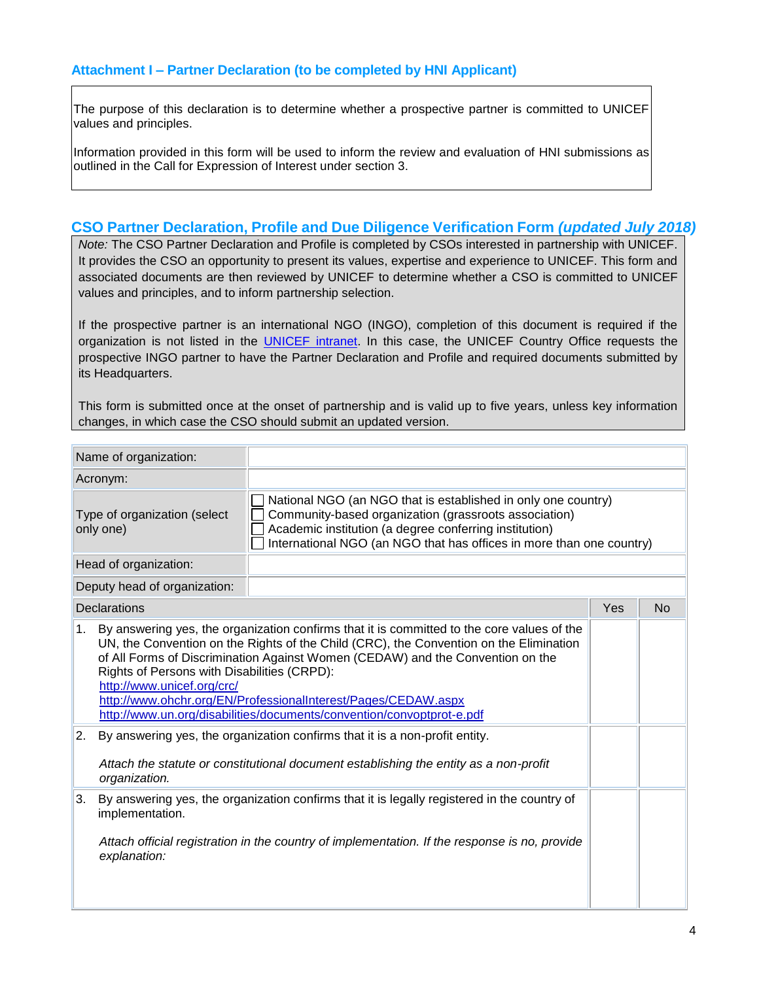The purpose of this declaration is to determine whether a prospective partner is committed to UNICEF values and principles.

Information provided in this form will be used to inform the review and evaluation of HNI submissions as outlined in the Call for Expression of Interest under section 3.

### **CSO Partner Declaration, Profile and Due Diligence Verification Form** *(updated July 2018)*

*Note:* The CSO Partner Declaration and Profile is completed by CSOs interested in partnership with UNICEF. It provides the CSO an opportunity to present its values, expertise and experience to UNICEF. This form and associated documents are then reviewed by UNICEF to determine whether a CSO is committed to UNICEF values and principles, and to inform partnership selection.

If the prospective partner is an international NGO (INGO), completion of this document is required if the organization is not listed in the [UNICEF intranet.](https://intranet.unicef.org/PD/CSP.nsf/Site%20Pages/page01040701) In this case, the UNICEF Country Office requests the prospective INGO partner to have the Partner Declaration and Profile and required documents submitted by its Headquarters.

This form is submitted once at the onset of partnership and is valid up to five years, unless key information changes, in which case the CSO should submit an updated version.

|                                           | Name of organization:                                                                                  |                                                                                                                                                                                                                                                                                                                                                                                                                                                                                                 |     |           |  |
|-------------------------------------------|--------------------------------------------------------------------------------------------------------|-------------------------------------------------------------------------------------------------------------------------------------------------------------------------------------------------------------------------------------------------------------------------------------------------------------------------------------------------------------------------------------------------------------------------------------------------------------------------------------------------|-----|-----------|--|
|                                           | Acronym:                                                                                               |                                                                                                                                                                                                                                                                                                                                                                                                                                                                                                 |     |           |  |
| Type of organization (select<br>only one) |                                                                                                        | National NGO (an NGO that is established in only one country)<br>Community-based organization (grassroots association)<br>Academic institution (a degree conferring institution)<br>International NGO (an NGO that has offices in more than one country)                                                                                                                                                                                                                                        |     |           |  |
|                                           | Head of organization:                                                                                  |                                                                                                                                                                                                                                                                                                                                                                                                                                                                                                 |     |           |  |
|                                           | Deputy head of organization:                                                                           |                                                                                                                                                                                                                                                                                                                                                                                                                                                                                                 |     |           |  |
|                                           | <b>Declarations</b>                                                                                    |                                                                                                                                                                                                                                                                                                                                                                                                                                                                                                 | Yes | <b>No</b> |  |
| 1.<br>2.                                  | Rights of Persons with Disabilities (CRPD):<br>http://www.unicef.org/crc/                              | By answering yes, the organization confirms that it is committed to the core values of the<br>UN, the Convention on the Rights of the Child (CRC), the Convention on the Elimination<br>of All Forms of Discrimination Against Women (CEDAW) and the Convention on the<br>http://www.ohchr.org/EN/ProfessionalInterest/Pages/CEDAW.aspx<br>http://www.un.org/disabilities/documents/convention/convoptprot-e.pdf<br>By answering yes, the organization confirms that it is a non-profit entity. |     |           |  |
|                                           | Attach the statute or constitutional document establishing the entity as a non-profit<br>organization. |                                                                                                                                                                                                                                                                                                                                                                                                                                                                                                 |     |           |  |
| 3.                                        | implementation.<br>explanation:                                                                        | By answering yes, the organization confirms that it is legally registered in the country of<br>Attach official registration in the country of implementation. If the response is no, provide                                                                                                                                                                                                                                                                                                    |     |           |  |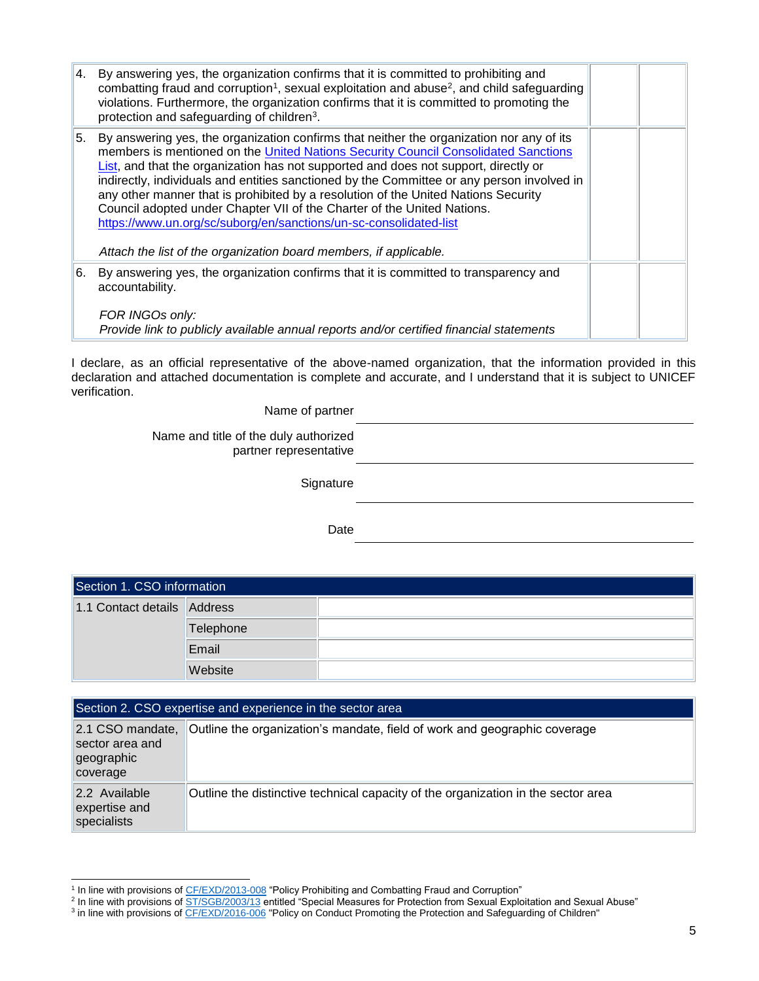| 4. | By answering yes, the organization confirms that it is committed to prohibiting and<br>combatting fraud and corruption <sup>1</sup> , sexual exploitation and abuse <sup>2</sup> , and child safeguarding<br>violations. Furthermore, the organization confirms that it is committed to promoting the<br>protection and safeguarding of children <sup>3</sup> .                                                                                                                                                                                                                                                                                                                |  |
|----|--------------------------------------------------------------------------------------------------------------------------------------------------------------------------------------------------------------------------------------------------------------------------------------------------------------------------------------------------------------------------------------------------------------------------------------------------------------------------------------------------------------------------------------------------------------------------------------------------------------------------------------------------------------------------------|--|
| 5. | By answering yes, the organization confirms that neither the organization nor any of its<br>members is mentioned on the United Nations Security Council Consolidated Sanctions<br>List, and that the organization has not supported and does not support, directly or<br>indirectly, individuals and entities sanctioned by the Committee or any person involved in<br>any other manner that is prohibited by a resolution of the United Nations Security<br>Council adopted under Chapter VII of the Charter of the United Nations.<br>https://www.un.org/sc/suborg/en/sanctions/un-sc-consolidated-list<br>Attach the list of the organization board members, if applicable. |  |
| 6. | By answering yes, the organization confirms that it is committed to transparency and<br>accountability.<br>FOR INGOs only:<br>Provide link to publicly available annual reports and/or certified financial statements                                                                                                                                                                                                                                                                                                                                                                                                                                                          |  |

I declare, as an official representative of the above-named organization, that the information provided in this declaration and attached documentation is complete and accurate, and I understand that it is subject to UNICEF verification.

Name of partner

Name and title of the duly authorized partner representative

**Signature** 

Date

| Section 1. CSO information  |           |  |
|-----------------------------|-----------|--|
| 1.1 Contact details Address |           |  |
|                             | Telephone |  |
|                             | Email     |  |
|                             | Website   |  |

|                                                               | Section 2. CSO expertise and experience in the sector area                        |
|---------------------------------------------------------------|-----------------------------------------------------------------------------------|
| 2.1 CSO mandate,<br>sector area and<br>geographic<br>coverage | Outline the organization's mandate, field of work and geographic coverage         |
| 2.2 Available<br>expertise and<br>specialists                 | Outline the distinctive technical capacity of the organization in the sector area |

<sup>&</sup>lt;sup>1</sup> In line with provisions of <u>CF/EXD/2013-008</u> "Policy Prohibiting and Combatting Fraud and Corruption"<br><sup>2</sup> In line with provisions of <u>ST/SGB/2003/13</u> entitled "Special Measures for Protection from Sexual Exploitation

<sup>&</sup>lt;sup>3</sup> in line with provisions o[f CF/EXD/2016-006](https://unicef.sharepoint.com/sites/portals/RF/Regulatory%20Framework%20Library/DHR%20Exec%20Dirs%20CF%20EXD%20006%20Child%20Safeguarding%20Policy%2001-Jul-2016.pdf) "Policy on Conduct Promoting the Protection and Safeguarding of Children"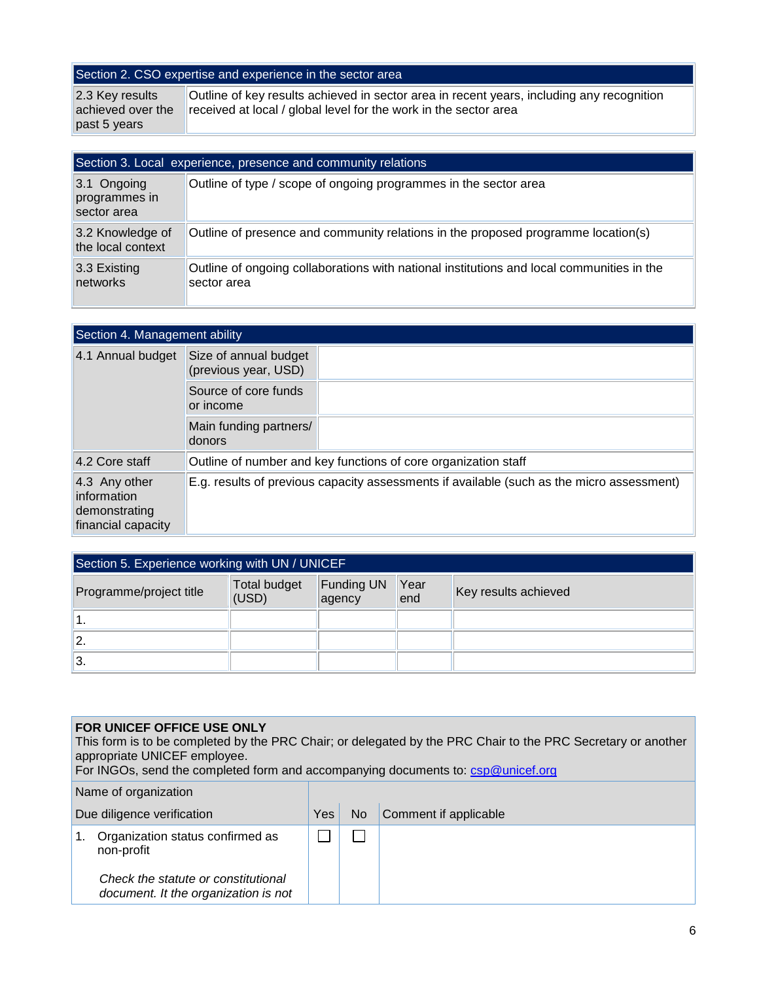# Section 2. CSO expertise and experience in the sector area

| 2.3 Key results | Outline of key results achieved in sector area in recent years, including any recognition |
|-----------------|-------------------------------------------------------------------------------------------|
|                 | achieved over the received at local / global level for the work in the sector area        |
| past 5 years    |                                                                                           |

| Section 3. Local experience, presence and community relations |                                                                                                          |  |  |
|---------------------------------------------------------------|----------------------------------------------------------------------------------------------------------|--|--|
| $3.1$ Ongoing<br>programmes in<br>sector area                 | Outline of type / scope of ongoing programmes in the sector area                                         |  |  |
| 3.2 Knowledge of<br>the local context                         | Outline of presence and community relations in the proposed programme location(s)                        |  |  |
| 3.3 Existing<br>networks                                      | Outline of ongoing collaborations with national institutions and local communities in the<br>sector area |  |  |

| Section 4. Management ability                                       |                                               |                                                                                           |
|---------------------------------------------------------------------|-----------------------------------------------|-------------------------------------------------------------------------------------------|
| 4.1 Annual budget                                                   | Size of annual budget<br>(previous year, USD) |                                                                                           |
|                                                                     | Source of core funds<br>or income             |                                                                                           |
|                                                                     | Main funding partners/<br>donors              |                                                                                           |
| 4.2 Core staff                                                      |                                               | Outline of number and key functions of core organization staff                            |
| 4.3 Any other<br>information<br>demonstrating<br>financial capacity |                                               | E.g. results of previous capacity assessments if available (such as the micro assessment) |

| Section 5. Experience working with UN / UNICEF |                              |                      |              |                      |  |
|------------------------------------------------|------------------------------|----------------------|--------------|----------------------|--|
| Programme/project title                        | <b>Total budget</b><br>(USD) | Funding UN<br>agency | Year<br>lend | Key results achieved |  |
|                                                |                              |                      |              |                      |  |
| ا2.                                            |                              |                      |              |                      |  |
| ΙЗ.                                            |                              |                      |              |                      |  |

#### **FOR UNICEF OFFICE USE ONLY**

L

This form is to be completed by the PRC Chair; or delegated by the PRC Chair to the PRC Secretary or another appropriate UNICEF employee.

For INGOs, send the completed form and accompanying documents to: [csp@unicef.org](mailto:csp@unicef.org)

| Name of organization       |                                                                             |     |     |                       |
|----------------------------|-----------------------------------------------------------------------------|-----|-----|-----------------------|
| Due diligence verification |                                                                             | Yes | No. | Comment if applicable |
| 1.                         | Organization status confirmed as<br>non-profit                              |     |     |                       |
|                            | Check the statute or constitutional<br>document. It the organization is not |     |     |                       |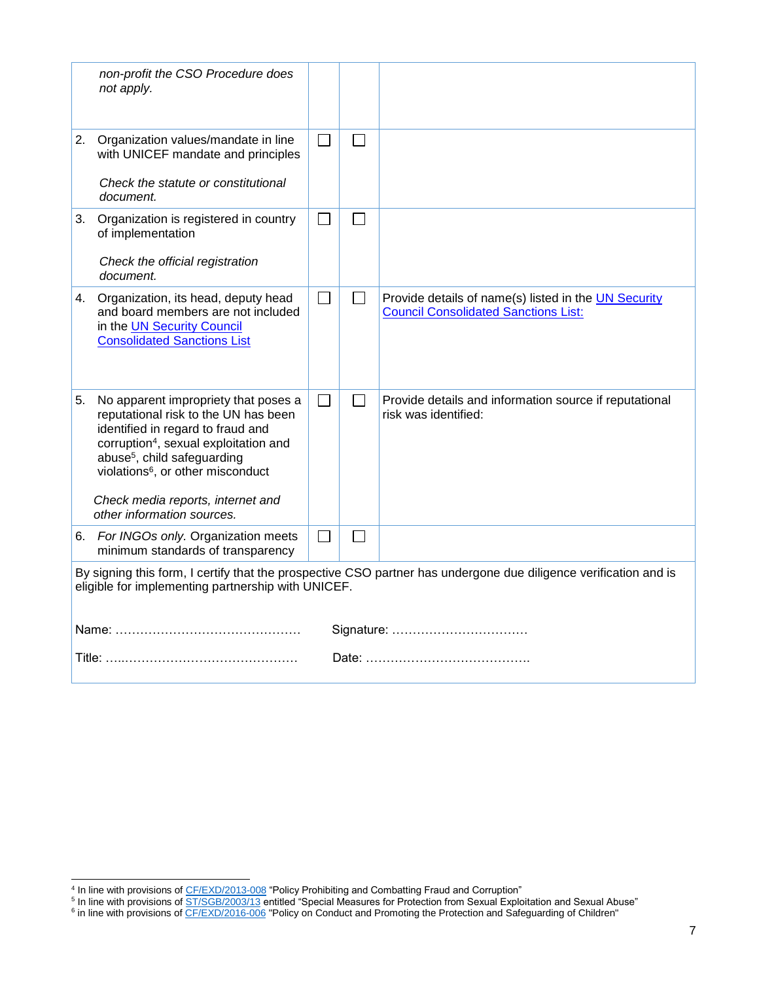|    | non-profit the CSO Procedure does<br>not apply.                                                                                                                                                                                                                                                                                       |        |                   |                                                                                                     |  |  |
|----|---------------------------------------------------------------------------------------------------------------------------------------------------------------------------------------------------------------------------------------------------------------------------------------------------------------------------------------|--------|-------------------|-----------------------------------------------------------------------------------------------------|--|--|
|    | 2. Organization values/mandate in line<br>with UNICEF mandate and principles                                                                                                                                                                                                                                                          | $\Box$ | $\Box$            |                                                                                                     |  |  |
|    | Check the statute or constitutional<br>document.                                                                                                                                                                                                                                                                                      |        |                   |                                                                                                     |  |  |
| 3. | Organization is registered in country<br>of implementation                                                                                                                                                                                                                                                                            |        |                   |                                                                                                     |  |  |
|    | Check the official registration<br>document.                                                                                                                                                                                                                                                                                          |        |                   |                                                                                                     |  |  |
|    | 4. Organization, its head, deputy head<br>and board members are not included<br>in the UN Security Council<br><b>Consolidated Sanctions List</b>                                                                                                                                                                                      | П      | $\Box$            | Provide details of name(s) listed in the UN Security<br><b>Council Consolidated Sanctions List:</b> |  |  |
| 5. | No apparent impropriety that poses a<br>reputational risk to the UN has been<br>identified in regard to fraud and<br>corruption <sup>4</sup> , sexual exploitation and<br>abuse <sup>5</sup> , child safeguarding<br>violations <sup>6</sup> , or other misconduct<br>Check media reports, internet and<br>other information sources. | $\Box$ | $\vert \ \ \vert$ | Provide details and information source if reputational<br>risk was identified:                      |  |  |
| 6. | For INGOs only. Organization meets<br>minimum standards of transparency                                                                                                                                                                                                                                                               | $\sim$ |                   |                                                                                                     |  |  |
|    | By signing this form, I certify that the prospective CSO partner has undergone due diligence verification and is<br>eligible for implementing partnership with UNICEF.                                                                                                                                                                |        |                   |                                                                                                     |  |  |
|    | Signature:                                                                                                                                                                                                                                                                                                                            |        |                   |                                                                                                     |  |  |
|    |                                                                                                                                                                                                                                                                                                                                       |        |                   |                                                                                                     |  |  |

<sup>&</sup>lt;sup>4</sup> In line with provisions of <u>CF/EXD/2013-008</u> "Policy Prohibiting and Combatting Fraud and Corruption"<br><sup>5</sup> In line with provisions of <u>ST/SGB/2003/13</u> entitled "Special Measures for Protection from Sexual Exploitation a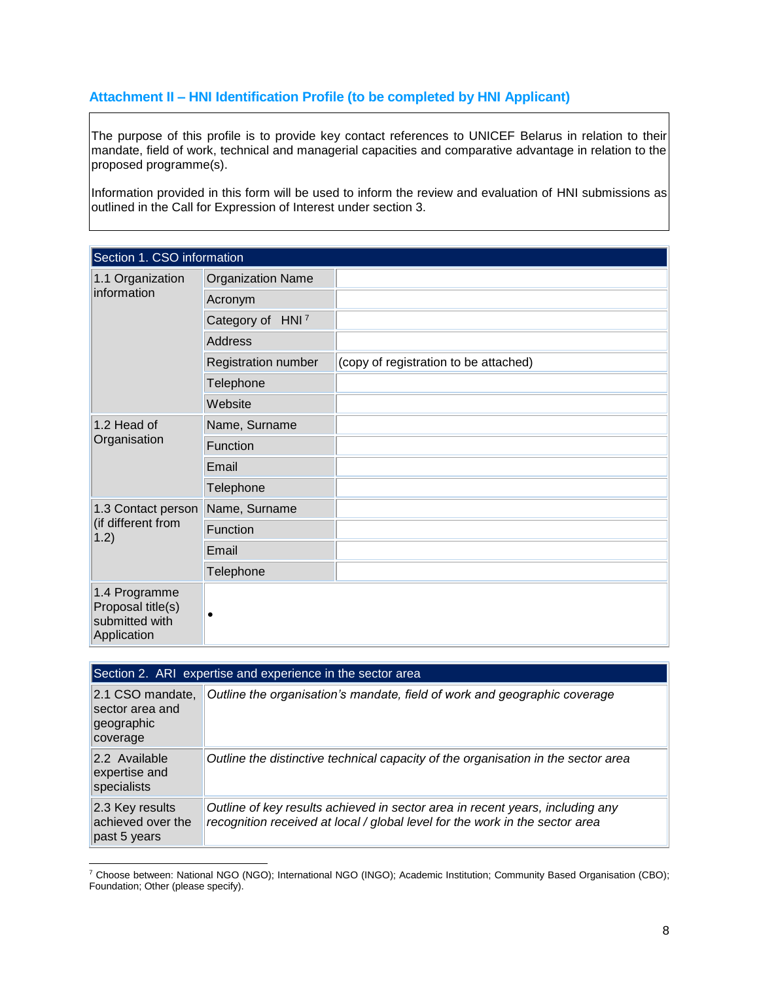# **Attachment II – HNI Identification Profile (to be completed by HNI Applicant)**

The purpose of this profile is to provide key contact references to UNICEF Belarus in relation to their mandate, field of work, technical and managerial capacities and comparative advantage in relation to the proposed programme(s).

Information provided in this form will be used to inform the review and evaluation of HNI submissions as outlined in the Call for Expression of Interest under section 3.

| Section 1. CSO information                                          |                              |                                       |  |  |  |
|---------------------------------------------------------------------|------------------------------|---------------------------------------|--|--|--|
| 1.1 Organization                                                    | <b>Organization Name</b>     |                                       |  |  |  |
| information                                                         | Acronym                      |                                       |  |  |  |
|                                                                     | Category of HNI <sup>7</sup> |                                       |  |  |  |
|                                                                     | Address                      |                                       |  |  |  |
|                                                                     | <b>Registration number</b>   | (copy of registration to be attached) |  |  |  |
|                                                                     | Telephone                    |                                       |  |  |  |
|                                                                     | Website                      |                                       |  |  |  |
| 1.2 Head of                                                         | Name, Surname                |                                       |  |  |  |
| Organisation                                                        | Function                     |                                       |  |  |  |
|                                                                     | Email                        |                                       |  |  |  |
|                                                                     | Telephone                    |                                       |  |  |  |
| 1.3 Contact person                                                  | Name, Surname                |                                       |  |  |  |
| (if different from<br>1.2)                                          | Function                     |                                       |  |  |  |
|                                                                     | Email                        |                                       |  |  |  |
|                                                                     | Telephone                    |                                       |  |  |  |
| 1.4 Programme<br>Proposal title(s)<br>submitted with<br>Application | $\bullet$                    |                                       |  |  |  |

| Section 2. ARI expertise and experience in the sector area    |                                                                                                                                                               |  |  |  |
|---------------------------------------------------------------|---------------------------------------------------------------------------------------------------------------------------------------------------------------|--|--|--|
| 2.1 CSO mandate,<br>sector area and<br>geographic<br>coverage | Outline the organisation's mandate, field of work and geographic coverage                                                                                     |  |  |  |
| 2.2 Available<br>expertise and<br>specialists                 | Outline the distinctive technical capacity of the organisation in the sector area                                                                             |  |  |  |
| $ 2.3$ Key results<br>achieved over the<br>past 5 years       | Outline of key results achieved in sector area in recent years, including any<br>recognition received at local / global level for the work in the sector area |  |  |  |

<sup>7</sup> Choose between: National NGO (NGO); International NGO (INGO); Academic Institution; Community Based Organisation (CBO); Foundation; Other (please specify).

l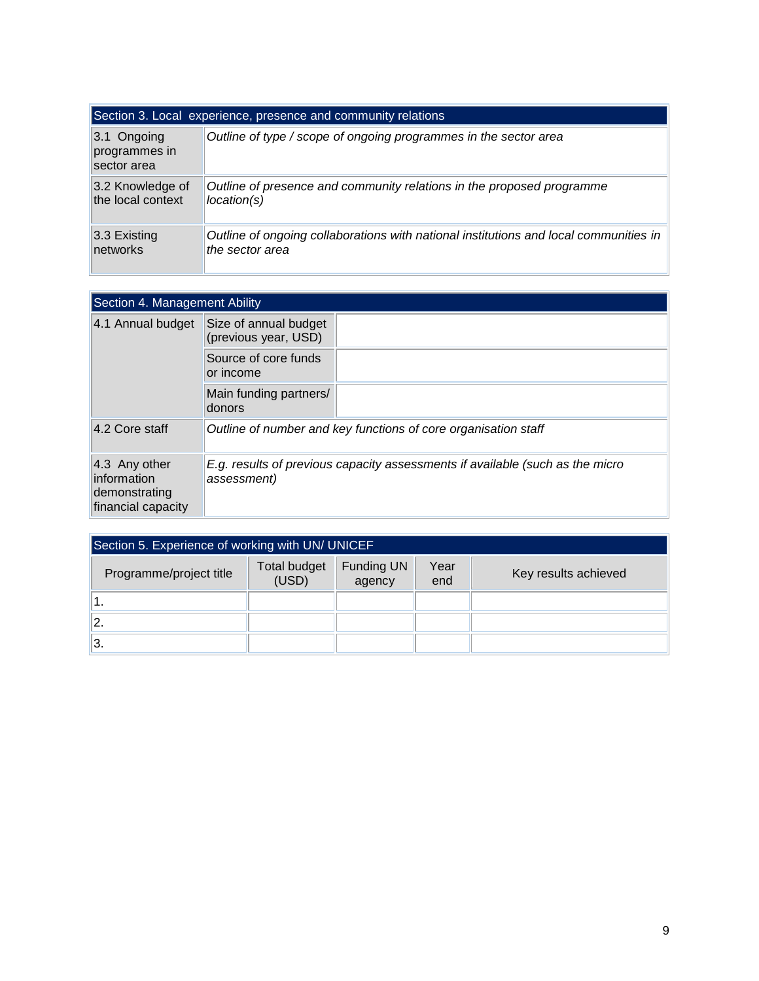| Section 3. Local experience, presence and community relations |                                                                                       |  |  |  |  |
|---------------------------------------------------------------|---------------------------------------------------------------------------------------|--|--|--|--|
| $3.1$ Ongoing<br>programmes in<br>sector area                 | Outline of type / scope of ongoing programmes in the sector area                      |  |  |  |  |
| 3.2 Knowledge of                                              | Outline of presence and community relations in the proposed programme                 |  |  |  |  |
| the local context                                             | location(s)                                                                           |  |  |  |  |
| $3.3$ Existing                                                | Outline of ongoing collaborations with national institutions and local communities in |  |  |  |  |
| networks                                                      | the sector area                                                                       |  |  |  |  |

| Section 4. Management Ability                                       |                                                                                              |  |  |  |
|---------------------------------------------------------------------|----------------------------------------------------------------------------------------------|--|--|--|
| 4.1 Annual budget                                                   | Size of annual budget<br>(previous year, USD)                                                |  |  |  |
|                                                                     | Source of core funds<br>or income                                                            |  |  |  |
|                                                                     | Main funding partners/<br>donors                                                             |  |  |  |
| 4.2 Core staff                                                      | Outline of number and key functions of core organisation staff                               |  |  |  |
| 4.3 Any other<br>information<br>demonstrating<br>financial capacity | E.g. results of previous capacity assessments if available (such as the micro<br>assessment) |  |  |  |

| Section 5. Experience of working with UN/ UNICEF |                              |                             |             |                      |  |
|--------------------------------------------------|------------------------------|-----------------------------|-------------|----------------------|--|
| Programme/project title                          | <b>Total budget</b><br>(USD) | <b>Funding UN</b><br>agency | Year<br>end | Key results achieved |  |
|                                                  |                              |                             |             |                      |  |
| $\mathbf{2}$ .                                   |                              |                             |             |                      |  |
| 3.                                               |                              |                             |             |                      |  |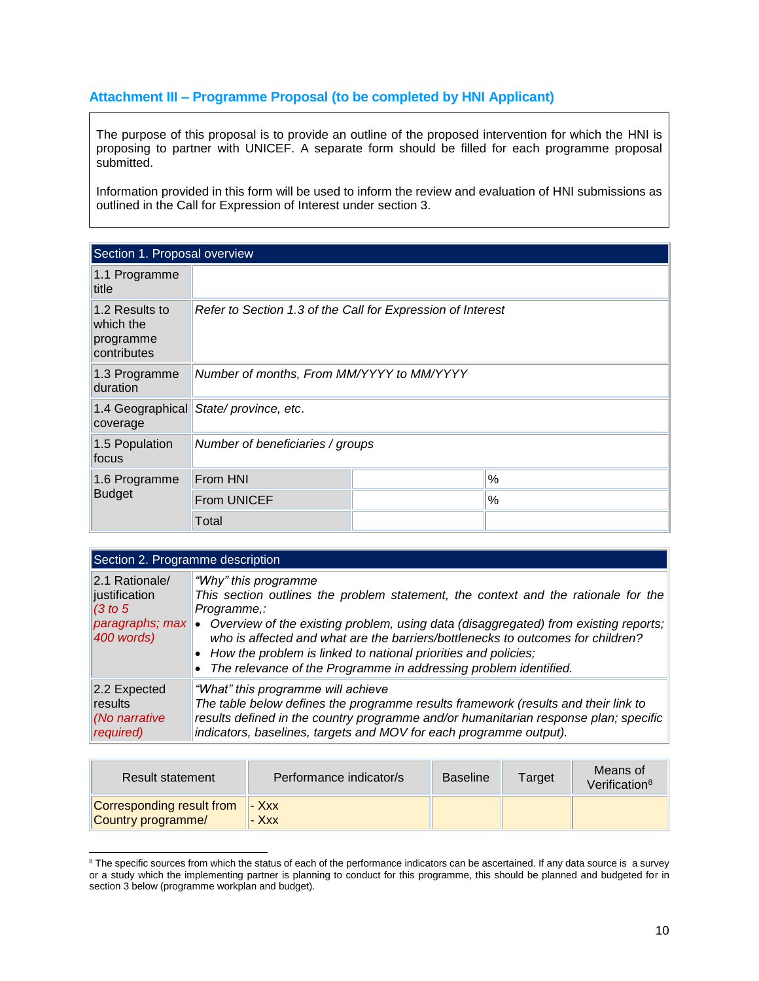# **Attachment III – Programme Proposal (to be completed by HNI Applicant)**

The purpose of this proposal is to provide an outline of the proposed intervention for which the HNI is proposing to partner with UNICEF. A separate form should be filled for each programme proposal submitted.

Information provided in this form will be used to inform the review and evaluation of HNI submissions as outlined in the Call for Expression of Interest under section 3.

| Section 1. Proposal overview                            |                                                             |  |   |  |
|---------------------------------------------------------|-------------------------------------------------------------|--|---|--|
| 1.1 Programme<br>title                                  |                                                             |  |   |  |
| 1.2 Results to<br>which the<br>programme<br>contributes | Refer to Section 1.3 of the Call for Expression of Interest |  |   |  |
| 1.3 Programme<br>duration                               | Number of months, From MM/YYYY to MM/YYYY                   |  |   |  |
| coverage                                                | 1.4 Geographical State/province, etc.                       |  |   |  |
| 1.5 Population<br>focus                                 | Number of beneficiaries / groups                            |  |   |  |
| 1.6 Programme                                           | From HNI                                                    |  | % |  |
| <b>Budget</b>                                           | <b>From UNICEF</b>                                          |  | % |  |
|                                                         | Total                                                       |  |   |  |

| Section 2. Programme description                          |                                                                                                                                                                                                                                                                                                                                                                                                                                                                 |  |  |  |
|-----------------------------------------------------------|-----------------------------------------------------------------------------------------------------------------------------------------------------------------------------------------------------------------------------------------------------------------------------------------------------------------------------------------------------------------------------------------------------------------------------------------------------------------|--|--|--|
| 2.1 Rationale/<br>justification<br>(3 to 5)<br>400 words) | "Why" this programme<br>This section outlines the problem statement, the context and the rationale for the<br>Programme.:<br>paragraphs; max   Overview of the existing problem, using data (disaggregated) from existing reports;<br>who is affected and what are the barriers/bottlenecks to outcomes for children?<br>• How the problem is linked to national priorities and policies;<br>• The relevance of the Programme in addressing problem identified. |  |  |  |
| 2.2 Expected<br>results<br>(No narrative<br>required)     | "What" this programme will achieve<br>The table below defines the programme results framework (results and their link to<br>results defined in the country programme and/or humanitarian response plan; specific<br>indicators, baselines, targets and MOV for each programme output).                                                                                                                                                                          |  |  |  |

| Result statement                                               | Performance indicator/s | Baseline | Target | Means of<br>Verification <sup>8</sup> |
|----------------------------------------------------------------|-------------------------|----------|--------|---------------------------------------|
| <b>Corresponding result from   - Xxx</b><br>Country programme/ | $ Xxx$                  |          |        |                                       |

l <sup>8</sup> The specific sources from which the status of each of the performance indicators can be ascertained. If any data source is a survey or a study which the implementing partner is planning to conduct for this programme, this should be planned and budgeted for in section 3 below (programme workplan and budget).